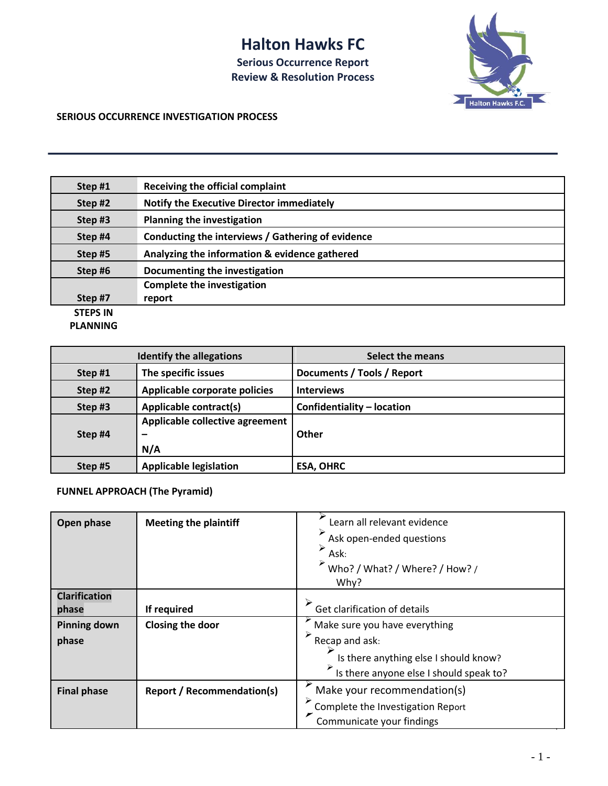## **Halton Hawks FC**

**Serious Occurrence Report Review & Resolution Process**



## **SERIOUS OCCURRENCE INVESTIGATION PROCESS**

| Step #1         | <b>Receiving the official complaint</b>           |
|-----------------|---------------------------------------------------|
| Step #2         | Notify the Executive Director immediately         |
| Step#3          | <b>Planning the investigation</b>                 |
| Step #4         | Conducting the interviews / Gathering of evidence |
| Step #5         | Analyzing the information & evidence gathered     |
| Step #6         | Documenting the investigation                     |
|                 | <b>Complete the investigation</b>                 |
| Step #7         | report                                            |
| <b>STEPS IN</b> |                                                   |

**PLANNING**

| <b>Identify the allegations</b> |                                        | <b>Select the means</b>    |  |
|---------------------------------|----------------------------------------|----------------------------|--|
| Step#1                          | The specific issues                    | Documents / Tools / Report |  |
| Step#2                          | Applicable corporate policies          | <b>Interviews</b>          |  |
| Step#3                          | <b>Applicable contract(s)</b>          | Confidentiality - location |  |
| Step #4                         | Applicable collective agreement<br>N/A | Other                      |  |
| Step #5                         | <b>Applicable legislation</b>          | <b>ESA, OHRC</b>           |  |

## **FUNNEL APPROACH (The Pyramid)**

| Open phase           | <b>Meeting the plaintiff</b>      | Learn all relevant evidence<br>Ask open-ended questions<br>⋗<br>Ask:<br>Who? / What? / Where? / How? /<br>Why? |  |
|----------------------|-----------------------------------|----------------------------------------------------------------------------------------------------------------|--|
| <b>Clarification</b> |                                   | Get clarification of details                                                                                   |  |
| phase                | If required                       |                                                                                                                |  |
| <b>Pinning down</b>  | Closing the door                  | Make sure you have everything                                                                                  |  |
| phase                |                                   | ⋗<br>Recap and ask:                                                                                            |  |
|                      |                                   | Is there anything else I should know?                                                                          |  |
|                      |                                   | Is there anyone else I should speak to?                                                                        |  |
| <b>Final phase</b>   | <b>Report / Recommendation(s)</b> | Make your recommendation(s)                                                                                    |  |
|                      |                                   | Complete the Investigation Report                                                                              |  |
|                      |                                   | Communicate your findings                                                                                      |  |